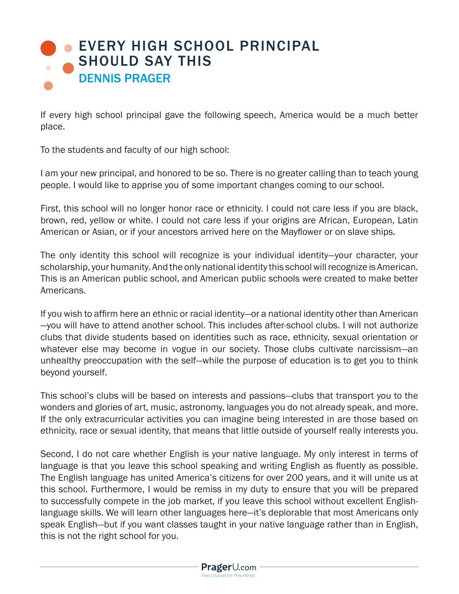## **[EVERY HIGH SCHOOL PRINCIPAL](https://www.prageru.com/courses/life-studies/every-high-school-principal-should-say)** SHOULD SAY THIS DENNIS PRAGER

If every high school principal gave the following speech, America would be a much better place.

To the students and faculty of our high school:

I am your new principal, and honored to be so. There is no greater calling than to teach young people. I would like to apprise you of some important changes coming to our school.

First, this school will no longer honor race or ethnicity. I could not care less if you are black, brown, red, yellow or white. I could not care less if your origins are African, European, Latin American or Asian, or if your ancestors arrived here on the Mayflower or on slave ships.

The only identity this school will recognize is your individual identity—your character, your scholarship, your humanity. And the only national identity this school will recognize is American. This is an American public school, and American public schools were created to make better Americans.

If you wish to affirm here an ethnic or racial identity—or a national identity other than American —you will have to attend another school. This includes after-school clubs. I will not authorize clubs that divide students based on identities such as race, ethnicity, sexual orientation or whatever else may become in vogue in our society. Those clubs cultivate narcissism—an unhealthy preoccupation with the self—while the purpose of education is to get you to think beyond yourself.

This school's clubs will be based on interests and passions—clubs that transport you to the wonders and glories of art, music, astronomy, languages you do not already speak, and more. If the only extracurricular activities you can imagine being interested in are those based on ethnicity, race or sexual identity, that means that little outside of yourself really interests you.

Second, I do not care whether English is your native language. My only interest in terms of language is that you leave this school speaking and writing English as fluently as possible. The English language has united America's citizens for over 200 years, and it will unite us at this school. Furthermore, I would be remiss in my duty to ensure that you will be prepared to successfully compete in the job market, if you leave this school without excellent Englishlanguage skills. We will learn other languages here—it's deplorable that most Americans only speak English—but if you want classes taught in your native language rather than in English, this is not the right school for you.